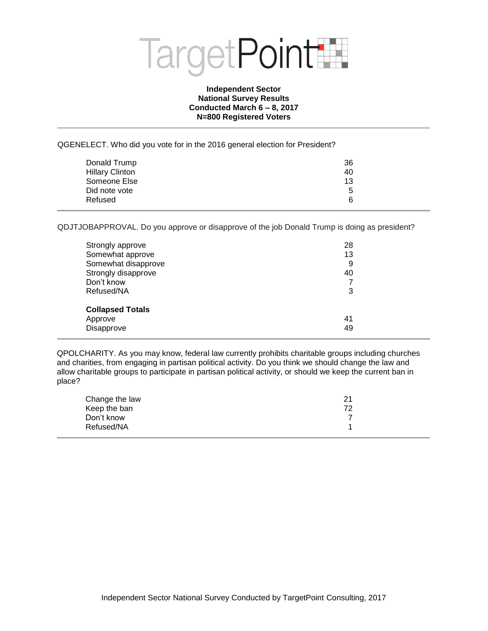

## **Independent Sector National Survey Results Conducted March 6 – 8, 2017 N=800 Registered Voters**

QGENELECT. Who did you vote for in the 2016 general election for President?

| Donald Trump           | 36 |
|------------------------|----|
| <b>Hillary Clinton</b> | 40 |
| Someone Else           | 13 |
| Did note vote          | 5  |
| Refused                | 6  |

QDJTJOBAPPROVAL. Do you approve or disapprove of the job Donald Trump is doing as president?

| Strongly approve<br>Somewhat approve<br>Somewhat disapprove<br>Strongly disapprove<br>Don't know<br>Refused/NA | 28<br>13<br>9<br>40<br>7<br>3 |  |
|----------------------------------------------------------------------------------------------------------------|-------------------------------|--|
| <b>Collapsed Totals</b><br>Approve<br>Disapprove                                                               | 41<br>49                      |  |

QPOLCHARITY. As you may know, federal law currently prohibits charitable groups including churches and charities, from engaging in partisan political activity. Do you think we should change the law and allow charitable groups to participate in partisan political activity, or should we keep the current ban in place?

| Change the law | 21 |
|----------------|----|
| Keep the ban   | 72 |
| Don't know     |    |
| Refused/NA     |    |